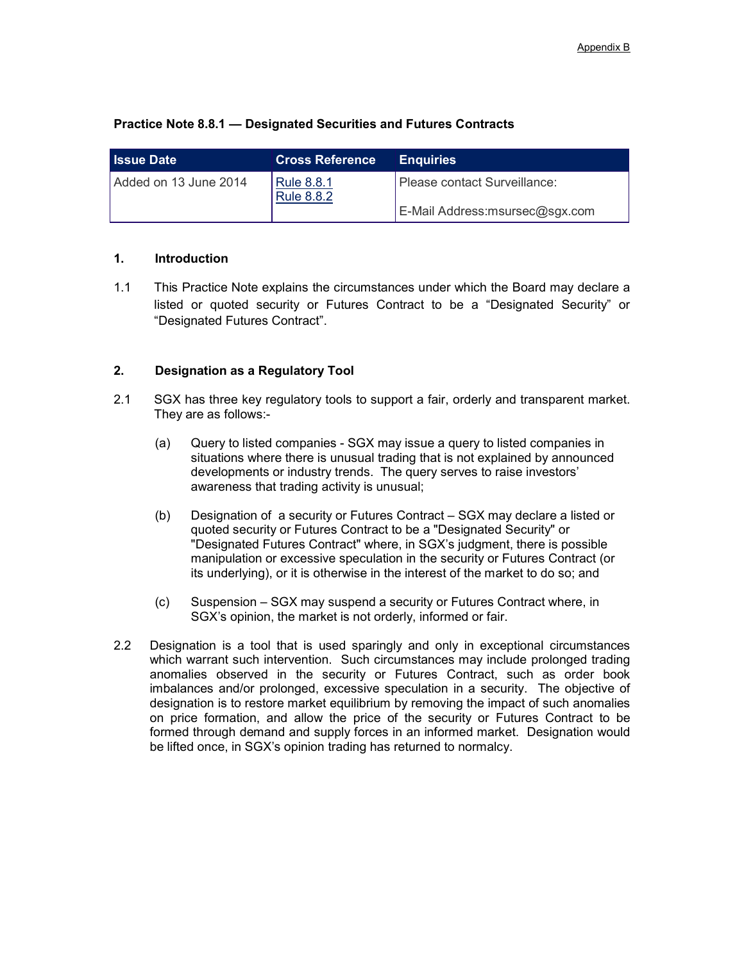| <b>Issue Date</b>     | <b>Cross Reference</b>                 | <b>Enguiries</b>                |
|-----------------------|----------------------------------------|---------------------------------|
| Added on 13 June 2014 | <b>Rule 8.8.1</b><br><b>Rule 8.8.2</b> | Please contact Surveillance:    |
|                       |                                        | E-Mail Address: msursec@sgx.com |

## **Practice Note 8.8.1 — Designated Securities and Futures Contracts**

## **1. Introduction**

1.1 This Practice Note explains the circumstances under which the Board may declare a listed or quoted security or Futures Contract to be a "Designated Security" or "Designated Futures Contract".

## **2. Designation as a Regulatory Tool**

- 2.1 SGX has three key regulatory tools to support a fair, orderly and transparent market. They are as follows:-
	- (a) Query to listed companies SGX may issue a query to listed companies in situations where there is unusual trading that is not explained by announced developments or industry trends. The query serves to raise investors' awareness that trading activity is unusual;
	- (b) Designation of a security or Futures Contract SGX may declare a listed or quoted security or Futures Contract to be a "Designated Security" or "Designated Futures Contract" where, in SGX's judgment, there is possible manipulation or excessive speculation in the security or Futures Contract (or its underlying), or it is otherwise in the interest of the market to do so; and
	- (c) Suspension SGX may suspend a security or Futures Contract where, in SGX's opinion, the market is not orderly, informed or fair.
- 2.2 Designation is a tool that is used sparingly and only in exceptional circumstances which warrant such intervention. Such circumstances may include prolonged trading anomalies observed in the security or Futures Contract, such as order book imbalances and/or prolonged, excessive speculation in a security. The objective of designation is to restore market equilibrium by removing the impact of such anomalies on price formation, and allow the price of the security or Futures Contract to be formed through demand and supply forces in an informed market. Designation would be lifted once, in SGX's opinion trading has returned to normalcy.